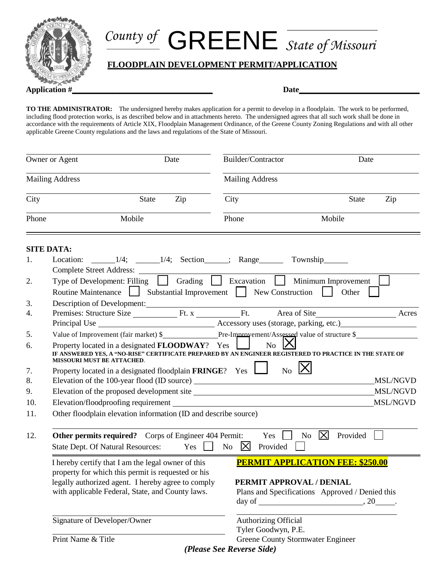

## *County of* GREENE *State of Missouri*

## **FLOODPLAIN DEVELOPMENT PERMIT/APPLICATION**

**Application #\_\_\_\_\_\_\_\_\_\_\_\_\_\_\_\_\_\_\_\_\_\_\_\_\_\_\_\_\_\_\_\_\_\_\_ Date\_\_\_\_\_\_\_\_\_\_\_\_\_\_\_\_\_\_\_\_\_\_\_\_\_\_\_\_\_\_**

**TO THE ADMINISTRATOR:** The undersigned hereby makes application for a permit to develop in a floodplain. The work to be performed, including flood protection works, is as described below and in attachments hereto. The undersigned agrees that all such work shall be done in accordance with the requirements of Article XIX, Floodplain Management Ordinance, of the Greene County Zoning Regulations and with all other applicable Greene County regulations and the laws and regulations of the State of Missouri.

| Owner or Agent         |                                                                                                                                                                                                                    | Date         |                                                                                                                                                        | Builder/Contractor                       |                           | Date         |          |
|------------------------|--------------------------------------------------------------------------------------------------------------------------------------------------------------------------------------------------------------------|--------------|--------------------------------------------------------------------------------------------------------------------------------------------------------|------------------------------------------|---------------------------|--------------|----------|
| <b>Mailing Address</b> |                                                                                                                                                                                                                    |              |                                                                                                                                                        | <b>Mailing Address</b>                   |                           |              |          |
| City                   |                                                                                                                                                                                                                    | <b>State</b> | Zip                                                                                                                                                    | City                                     |                           | <b>State</b> | Zip      |
| Phone                  | Mobile                                                                                                                                                                                                             |              |                                                                                                                                                        | Phone                                    | Mobile                    |              |          |
|                        | <b>SITE DATA:</b>                                                                                                                                                                                                  |              |                                                                                                                                                        |                                          |                           |              |          |
| 1.                     | Location:<br>Complete Street Address: ________                                                                                                                                                                     |              |                                                                                                                                                        | $1/4$ ; $1/4$ ; Section ; Range Township |                           |              |          |
| 2.                     | Type of Development: Filling $\boxed{\phantom{a}}$ Grading $\boxed{\phantom{a}}$ Excavation $\boxed{\phantom{a}}$ Minimum Improvement<br>Routine Maintenance Substantial Improvement New Construction              |              |                                                                                                                                                        |                                          |                           | Other        |          |
| 3.<br>4.               | Description of Development:                                                                                                                                                                                        |              |                                                                                                                                                        |                                          |                           |              | Acres    |
| 5.                     | Value of Improvement (fair market) \$ Pre-Improvement/Assessed value of structure \$                                                                                                                               |              |                                                                                                                                                        |                                          |                           |              |          |
| 6.                     | Property located in a designated <b>FLOODWAY</b> ? Yes<br>No<br>IF ANSWERED YES, A "NO-RISE" CERTIFICATE PREPARED BY AN ENGINEER REGISTERED TO PRACTICE IN THE STATE OF<br>MISSOURI MUST BE ATTACHED.              |              |                                                                                                                                                        |                                          |                           |              |          |
| 7.<br>8.               | Property located in a designated floodplain FRINGE? Yes                                                                                                                                                            |              |                                                                                                                                                        |                                          | $_{\text{No}}$   $\times$ |              | MSL/NGVD |
| 9.                     |                                                                                                                                                                                                                    |              |                                                                                                                                                        |                                          | <b>MSL/NGVD</b>           |              |          |
| 10.                    | <b>MSL/NGVD</b>                                                                                                                                                                                                    |              |                                                                                                                                                        |                                          |                           |              |          |
| 11.                    | Other floodplain elevation information (ID and describe source)                                                                                                                                                    |              |                                                                                                                                                        |                                          |                           |              |          |
| 12.                    | $\mathsf{X}$<br><b>Other permits required?</b> Corps of Engineer 404 Permit:<br>N <sub>o</sub><br>Provided<br>Yes<br>State Dept. Of Natural Resources: Yes No<br>$\boxtimes$<br>Provided                           |              |                                                                                                                                                        |                                          |                           |              |          |
|                        | I hereby certify that I am the legal owner of this<br>property for which this permit is requested or his<br>legally authorized agent. I hereby agree to comply<br>with applicable Federal, State, and County laws. |              | <b>PERMIT APPLICATION FEE: \$250.00</b><br>PERMIT APPROVAL / DENIAL<br>Plans and Specifications Approved / Denied this<br>day of $\qquad \qquad .20$ . |                                          |                           |              |          |
|                        | Signature of Developer/Owner<br>Authorizing Official<br>Tyler Goodwyn, P.E.                                                                                                                                        |              |                                                                                                                                                        |                                          |                           |              |          |
|                        | Print Name & Title                                                                                                                                                                                                 |              |                                                                                                                                                        | Greene County Stormwater Engineer        |                           |              |          |

*(Please See Reverse Side)*